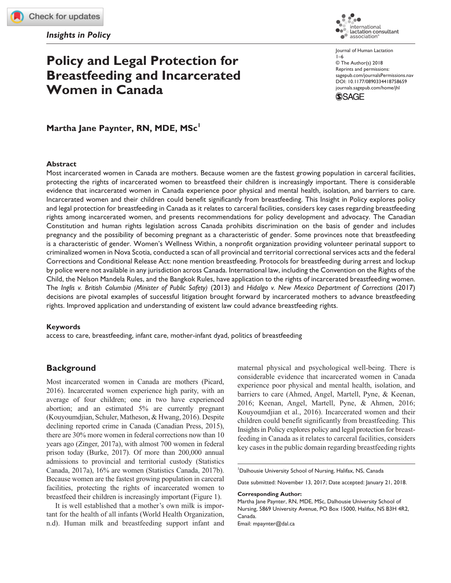**[758659](http://crossmark.crossref.org/dialog/?doi=10.1177%2F0890334418758659&domain=pdf&date_stamp=2018-03-27)**JHLXXX10.1177/0890334418758659Journal of Human Lactation**Paynter**

*research-article*2018

# **Policy and Legal Protection for Breastfeeding and Incarcerated Women in Canada**



Journal of Human Lactation 1–6 © The Author(s) 2018 Reprints and permissions: [sagepub.com/journalsPermissions.nav](https://us.sagepub.com/en-us/journals-permissions) https://doi.org/10.1177/0890334418758659 DOI: 10.1177/0890334418758659 [journals.sagepub.com/home/jhl](https://journals.sagepub.com/home/jhl) **SSAGE** 

**Martha Jane Paynter, RN, MDE, MSc1**

### **Abstract**

Most incarcerated women in Canada are mothers. Because women are the fastest growing population in carceral facilities, protecting the rights of incarcerated women to breastfeed their children is increasingly important. There is considerable evidence that incarcerated women in Canada experience poor physical and mental health, isolation, and barriers to care. Incarcerated women and their children could benefit significantly from breastfeeding. This Insight in Policy explores policy and legal protection for breastfeeding in Canada as it relates to carceral facilities, considers key cases regarding breastfeeding rights among incarcerated women, and presents recommendations for policy development and advocacy. The Canadian Constitution and human rights legislation across Canada prohibits discrimination on the basis of gender and includes pregnancy and the possibility of becoming pregnant as a characteristic of gender. Some provinces note that breastfeeding is a characteristic of gender. Women's Wellness Within, a nonprofit organization providing volunteer perinatal support to criminalized women in Nova Scotia, conducted a scan of all provincial and territorial correctional services acts and the federal Corrections and Conditional Release Act: none mention breastfeeding. Protocols for breastfeeding during arrest and lockup by police were not available in any jurisdiction across Canada. International law, including the Convention on the Rights of the Child, the Nelson Mandela Rules, and the Bangkok Rules, have application to the rights of incarcerated breastfeeding women. The *Inglis v. British Columbia (Minister of Public Safety)* (2013) and *Hidalgo v. New Mexico Department of Corrections* (2017) decisions are pivotal examples of successful litigation brought forward by incarcerated mothers to advance breastfeeding rights. Improved application and understanding of existent law could advance breastfeeding rights.

### **Keywords**

access to care, breastfeeding, infant care, mother-infant dyad, politics of breastfeeding

### **Background**

Most incarcerated women in Canada are mothers (Picard, 2016). Incarcerated women experience high parity, with an average of four children; one in two have experienced abortion; and an estimated 5% are currently pregnant (Kouyoumdjian, Schuler, Matheson, & Hwang, 2016). Despite declining reported crime in Canada (Canadian Press, 2015), there are 30% more women in federal corrections now than 10 years ago (Zinger, 2017a), with almost 700 women in federal prison today (Burke, 2017). Of more than 200,000 annual admissions to provincial and territorial custody (Statistics Canada, 2017a), 16% are women (Statistics Canada, 2017b). Because women are the fastest growing population in carceral facilities, protecting the rights of incarcerated women to breastfeed their children is increasingly important (Figure 1).

It is well established that a mother's own milk is important for the health of all infants (World Health Organization, n.d). Human milk and breastfeeding support infant and maternal physical and psychological well-being. There is considerable evidence that incarcerated women in Canada experience poor physical and mental health, isolation, and barriers to care (Ahmed, Angel, Martell, Pyne, & Keenan, 2016; Keenan, Angel, Martell, Pyne, & Ahmen, 2016; Kouyoumdjian et al., 2016). Incarcerated women and their children could benefit significantly from breastfeeding. This Insights in Policy explores policy and legal protection for breastfeeding in Canada as it relates to carceral facilities, considers key cases in the public domain regarding breastfeeding rights

Date submitted: November 13, 2017; Date accepted: January 21, 2018.

### **Corresponding Author:**

Martha Jane Paynter, RN, MDE, MSc, Dalhousie University School of Nursing, 5869 University Avenue, PO Box 15000, Halifax, NS B3H 4R2, Canada. Email: [mpaynter@dal.ca](mailto:mpaynter@dal.ca)

<sup>1</sup> Dalhousie University School of Nursing, Halifax, NS, Canada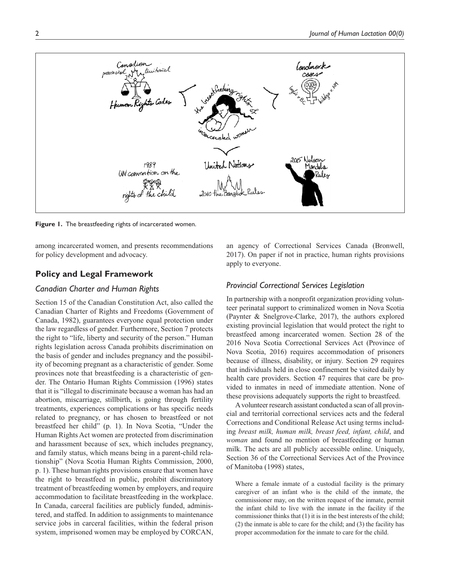

**Figure 1.** The breastfeeding rights of incarcerated women.

among incarcerated women, and presents recommendations for policy development and advocacy.

# **Policy and Legal Framework**

### *Canadian Charter and Human Rights*

Section 15 of the Canadian Constitution Act, also called the Canadian Charter of Rights and Freedoms (Government of Canada, 1982), guarantees everyone equal protection under the law regardless of gender. Furthermore, Section 7 protects the right to "life, liberty and security of the person." Human rights legislation across Canada prohibits discrimination on the basis of gender and includes pregnancy and the possibility of becoming pregnant as a characteristic of gender. Some provinces note that breastfeeding is a characteristic of gender. The Ontario Human Rights Commission (1996) states that it is "illegal to discriminate because a woman has had an abortion, miscarriage, stillbirth, is going through fertility treatments, experiences complications or has specific needs related to pregnancy, or has chosen to breastfeed or not breastfeed her child" (p. 1). In Nova Scotia, "Under the Human Rights Act women are protected from discrimination and harassment because of sex, which includes pregnancy, and family status, which means being in a parent-child relationship" (Nova Scotia Human Rights Commission, 2000, p. 1). These human rights provisions ensure that women have the right to breastfeed in public, prohibit discriminatory treatment of breastfeeding women by employers, and require accommodation to facilitate breastfeeding in the workplace. In Canada, carceral facilities are publicly funded, administered, and staffed. In addition to assignments to maintenance service jobs in carceral facilities, within the federal prison system, imprisoned women may be employed by CORCAN,

an agency of Correctional Services Canada (Bronwell, 2017). On paper if not in practice, human rights provisions apply to everyone.

## *Provincial Correctional Services Legislation*

In partnership with a nonprofit organization providing volunteer perinatal support to criminalized women in Nova Scotia (Paynter & Snelgrove-Clarke, 2017), the authors explored existing provincial legislation that would protect the right to breastfeed among incarcerated women. Section 28 of the 2016 Nova Scotia Correctional Services Act (Province of Nova Scotia, 2016) requires accommodation of prisoners because of illness, disability, or injury. Section 29 requires that individuals held in close confinement be visited daily by health care providers. Section 47 requires that care be provided to inmates in need of immediate attention. None of these provisions adequately supports the right to breastfeed.

A volunteer research assistant conducted a scan of all provincial and territorial correctional services acts and the federal Corrections and Conditional Release Act using terms including *breast milk, human milk, breast feed, infant, child*, and *woman* and found no mention of breastfeeding or human milk. The acts are all publicly accessible online. Uniquely, Section 36 of the Correctional Services Act of the Province of Manitoba (1998) states,

Where a female inmate of a custodial facility is the primary caregiver of an infant who is the child of the inmate, the commissioner may, on the written request of the inmate, permit the infant child to live with the inmate in the facility if the commissioner thinks that (1) it is in the best interests of the child; (2) the inmate is able to care for the child; and (3) the facility has proper accommodation for the inmate to care for the child.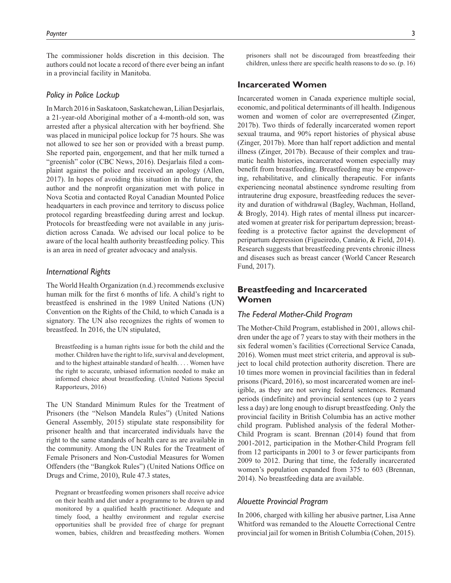The commissioner holds discretion in this decision. The authors could not locate a record of there ever being an infant in a provincial facility in Manitoba.

### *Policy in Police Lockup*

In March 2016 in Saskatoon, Saskatchewan, Lilian Desjarlais, a 21-year-old Aboriginal mother of a 4-month-old son, was arrested after a physical altercation with her boyfriend. She was placed in municipal police lockup for 75 hours. She was not allowed to see her son or provided with a breast pump. She reported pain, engorgement, and that her milk turned a "greenish" color (CBC News, 2016). Desjarlais filed a complaint against the police and received an apology (Allen, 2017). In hopes of avoiding this situation in the future, the author and the nonprofit organization met with police in Nova Scotia and contacted Royal Canadian Mounted Police headquarters in each province and territory to discuss police protocol regarding breastfeeding during arrest and lockup. Protocols for breastfeeding were not available in any jurisdiction across Canada. We advised our local police to be aware of the local health authority breastfeeding policy. This is an area in need of greater advocacy and analysis.

## *International Rights*

The World Health Organization (n.d.) recommends exclusive human milk for the first 6 months of life. A child's right to breastfeed is enshrined in the 1989 United Nations (UN) Convention on the Rights of the Child, to which Canada is a signatory. The UN also recognizes the rights of women to breastfeed. In 2016, the UN stipulated,

Breastfeeding is a human rights issue for both the child and the mother. Children have the right to life, survival and development, and to the highest attainable standard of health. . . . Women have the right to accurate, unbiased information needed to make an informed choice about breastfeeding. (United Nations Special Rapporteurs, 2016)

The UN Standard Minimum Rules for the Treatment of Prisoners (the "Nelson Mandela Rules") (United Nations General Assembly, 2015) stipulate state responsibility for prisoner health and that incarcerated individuals have the right to the same standards of health care as are available in the community. Among the UN Rules for the Treatment of Female Prisoners and Non-Custodial Measures for Women Offenders (the "Bangkok Rules") (United Nations Office on Drugs and Crime, 2010), Rule 47.3 states,

Pregnant or breastfeeding women prisoners shall receive advice on their health and diet under a programme to be drawn up and monitored by a qualified health practitioner. Adequate and timely food, a healthy environment and regular exercise opportunities shall be provided free of charge for pregnant women, babies, children and breastfeeding mothers. Women

prisoners shall not be discouraged from breastfeeding their children, unless there are specific health reasons to do so. (p. 16)

### **Incarcerated Women**

Incarcerated women in Canada experience multiple social, economic, and political determinants of ill health. Indigenous women and women of color are overrepresented (Zinger, 2017b). Two thirds of federally incarcerated women report sexual trauma, and 90% report histories of physical abuse (Zinger, 2017b). More than half report addiction and mental illness (Zinger, 2017b). Because of their complex and traumatic health histories, incarcerated women especially may benefit from breastfeeding. Breastfeeding may be empowering, rehabilitative, and clinically therapeutic. For infants experiencing neonatal abstinence syndrome resulting from intrauterine drug exposure, breastfeeding reduces the severity and duration of withdrawal (Bagley, Wachman, Holland, & Brogly, 2014). High rates of mental illness put incarcerated women at greater risk for peripartum depression; breastfeeding is a protective factor against the development of peripartum depression (Figueiredo, Canário, & Field, 2014). Research suggests that breastfeeding prevents chronic illness and diseases such as breast cancer (World Cancer Research Fund, 2017).

# **Breastfeeding and Incarcerated Women**

### *The Federal Mother-Child Program*

The Mother-Child Program, established in 2001, allows children under the age of 7 years to stay with their mothers in the six federal women's facilities (Correctional Service Canada, 2016). Women must meet strict criteria, and approval is subject to local child protection authority discretion. There are 10 times more women in provincial facilities than in federal prisons (Picard, 2016), so most incarcerated women are ineligible, as they are not serving federal sentences. Remand periods (indefinite) and provincial sentences (up to 2 years less a day) are long enough to disrupt breastfeeding. Only the provincial facility in British Columbia has an active mother child program. Published analysis of the federal Mother-Child Program is scant. Brennan (2014) found that from 2001-2012, participation in the Mother-Child Program fell from 12 participants in 2001 to 3 or fewer participants from 2009 to 2012. During that time, the federally incarcerated women's population expanded from 375 to 603 (Brennan, 2014). No breastfeeding data are available.

### *Alouette Provincial Program*

In 2006, charged with killing her abusive partner, Lisa Anne Whitford was remanded to the Alouette Correctional Centre provincial jail for women in British Columbia (Cohen, 2015).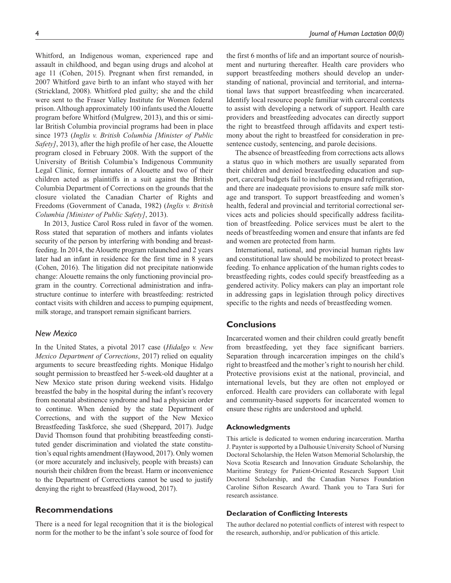Whitford, an Indigenous woman, experienced rape and assault in childhood, and began using drugs and alcohol at age 11 (Cohen, 2015). Pregnant when first remanded, in 2007 Whitford gave birth to an infant who stayed with her (Strickland, 2008). Whitford pled guilty; she and the child were sent to the Fraser Valley Institute for Women federal prison. Although approximately 100 infants used the Alouette program before Whitford (Mulgrew, 2013), and this or similar British Columbia provincial programs had been in place since 1973 (*Inglis v. British Columbia [Minister of Public Safety]*, 2013), after the high profile of her case, the Alouette program closed in February 2008. With the support of the University of British Columbia's Indigenous Community Legal Clinic, former inmates of Alouette and two of their children acted as plaintiffs in a suit against the British Columbia Department of Corrections on the grounds that the closure violated the Canadian Charter of Rights and Freedoms (Government of Canada, 1982) (*Inglis v. British Columbia [Minister of Public Safety]*, 2013).

In 2013, Justice Carol Ross ruled in favor of the women. Ross stated that separation of mothers and infants violates security of the person by interfering with bonding and breastfeeding. In 2014, the Alouette program relaunched and 2 years later had an infant in residence for the first time in 8 years (Cohen, 2016). The litigation did not precipitate nationwide change: Alouette remains the only functioning provincial program in the country. Correctional administration and infrastructure continue to interfere with breastfeeding: restricted contact visits with children and access to pumping equipment, milk storage, and transport remain significant barriers.

# *New Mexico*

In the United States, a pivotal 2017 case (*Hidalgo v. New Mexico Department of Corrections*, 2017) relied on equality arguments to secure breastfeeding rights. Monique Hidalgo sought permission to breastfeed her 5-week-old daughter at a New Mexico state prison during weekend visits. Hidalgo breastfed the baby in the hospital during the infant's recovery from neonatal abstinence syndrome and had a physician order to continue. When denied by the state Department of Corrections, and with the support of the New Mexico Breastfeeding Taskforce, she sued (Sheppard, 2017). Judge David Thomson found that prohibiting breastfeeding constituted gender discrimination and violated the state constitution's equal rights amendment (Haywood, 2017). Only women (or more accurately and inclusively, people with breasts) can nourish their children from the breast. Harm or inconvenience to the Department of Corrections cannot be used to justify denying the right to breastfeed (Haywood, 2017).

## **Recommendations**

There is a need for legal recognition that it is the biological norm for the mother to be the infant's sole source of food for

the first 6 months of life and an important source of nourishment and nurturing thereafter. Health care providers who support breastfeeding mothers should develop an understanding of national, provincial and territorial, and international laws that support breastfeeding when incarcerated. Identify local resource people familiar with carceral contexts to assist with developing a network of support. Health care providers and breastfeeding advocates can directly support the right to breastfeed through affidavits and expert testimony about the right to breastfeed for consideration in presentence custody, sentencing, and parole decisions.

The absence of breastfeeding from corrections acts allows a status quo in which mothers are usually separated from their children and denied breastfeeding education and support, carceral budgets fail to include pumps and refrigeration, and there are inadequate provisions to ensure safe milk storage and transport. To support breastfeeding and women's health, federal and provincial and territorial correctional services acts and policies should specifically address facilitation of breastfeeding. Police services must be alert to the needs of breastfeeding women and ensure that infants are fed and women are protected from harm.

International, national, and provincial human rights law and constitutional law should be mobilized to protect breastfeeding. To enhance application of the human rights codes to breastfeeding rights, codes could specify breastfeeding as a gendered activity. Policy makers can play an important role in addressing gaps in legislation through policy directives specific to the rights and needs of breastfeeding women.

### **Conclusions**

Incarcerated women and their children could greatly benefit from breastfeeding, yet they face significant barriers. Separation through incarceration impinges on the child's right to breastfeed and the mother's right to nourish her child. Protective provisions exist at the national, provincial, and international levels, but they are often not employed or enforced. Health care providers can collaborate with legal and community-based supports for incarcerated women to ensure these rights are understood and upheld.

### **Acknowledgments**

This article is dedicated to women enduring incarceration. Martha J. Paynter is supported by a Dalhousie University School of Nursing Doctoral Scholarship, the Helen Watson Memorial Scholarship, the Nova Scotia Research and Innovation Graduate Scholarship, the Maritime Strategy for Patient-Oriented Research Support Unit Doctoral Scholarship, and the Canadian Nurses Foundation Caroline Sifton Research Award. Thank you to Tara Suri for research assistance.

#### **Declaration of Conflicting Interests**

The author declared no potential conflicts of interest with respect to the research, authorship, and/or publication of this article.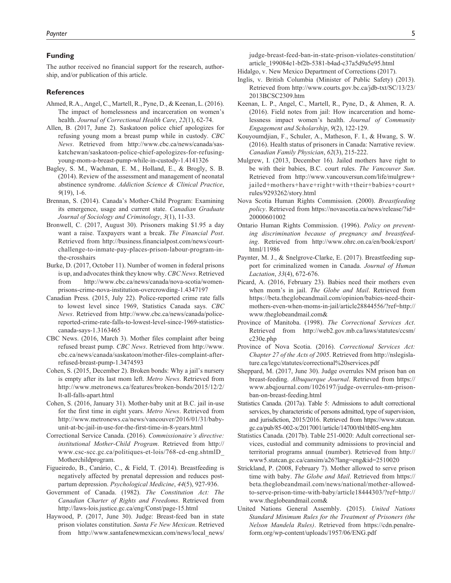### **Funding**

The author received no financial support for the research, authorship, and/or publication of this article.

#### **References**

- Ahmed, R.A., Angel, C., Martell, R., Pyne, D., & Keenan, L. (2016). The impact of homelessness and incarceration on women's health. *Journal of Correctional Health Care*, *22*(1), 62-74.
- Allen, B. (2017, June 2). Saskatoon police chief apologizes for refusing young mom a breast pump while in custody. *CBC News*. Retrieved from [http://www.cbc.ca/news/canada/sas](http://www.cbc.ca/news/canada/saskatchewan/saskatoon-police-chief-apologizes-for-refusing-young-mom-a-breast-pump-while-in-custody-1.4141326)[katchewan/saskatoon-police-chief-apologizes-for-refusing](http://www.cbc.ca/news/canada/saskatchewan/saskatoon-police-chief-apologizes-for-refusing-young-mom-a-breast-pump-while-in-custody-1.4141326)[young-mom-a-breast-pump-while-in-custody-1.4141326](http://www.cbc.ca/news/canada/saskatchewan/saskatoon-police-chief-apologizes-for-refusing-young-mom-a-breast-pump-while-in-custody-1.4141326)
- Bagley, S. M., Wachman, E. M., Holland, E., & Brogly, S. B. (2014). Review of the assessment and management of neonatal abstinence syndrome. *Addiction Science & Clinical Practice*, *9*(19), 1-6.
- Brennan, S. (2014). Canada's Mother-Child Program: Examining its emergence, usage and current state. *Canadian Graduate Journal of Sociology and Criminology*, *3*(1), 11-33.
- Bronwell, C. (2017, August 30). Prisoners making \$1.95 a day want a raise. Taxpayers want a break. *The Financial Post*. Retrieved from [http://business.financialpost.com/news/court](http://business.financialpost.com/news/court-challenge-to-inmate-pay-places-prison-labour-program-in-the-crosshairs)[challenge-to-inmate-pay-places-prison-labour-program-in](http://business.financialpost.com/news/court-challenge-to-inmate-pay-places-prison-labour-program-in-the-crosshairs)[the-crosshairs](http://business.financialpost.com/news/court-challenge-to-inmate-pay-places-prison-labour-program-in-the-crosshairs)
- Burke, D. (2017, October 11). Number of women in federal prisons is up, and advocates think they know why. *CBC News*. Retrieved from [http://www.cbc.ca/news/canada/nova-scotia/women](http://www.cbc.ca/news/canada/nova-scotia/women-prisons-crime-nova-institution-overcrowding-1.4347197)[prisons-crime-nova-institution-overcrowding-1.4347197](http://www.cbc.ca/news/canada/nova-scotia/women-prisons-crime-nova-institution-overcrowding-1.4347197)
- Canadian Press. (2015, July 22). Police-reported crime rate falls to lowest level since 1969, Statistics Canada says. *CBC News*. Retrieved from [http://www.cbc.ca/news/canada/police](http://www.cbc.ca/news/canada/police-reported-crime-rate-falls-to-lowest-level-since-1969-statistics-canada-says-1.3163465)[reported-crime-rate-falls-to-lowest-level-since-1969-statistics](http://www.cbc.ca/news/canada/police-reported-crime-rate-falls-to-lowest-level-since-1969-statistics-canada-says-1.3163465)[canada-says-1.3163465](http://www.cbc.ca/news/canada/police-reported-crime-rate-falls-to-lowest-level-since-1969-statistics-canada-says-1.3163465)
- CBC News. (2016, March 3). Mother files complaint after being refused breast pump. *CBC News*. Retrieved from [http://www.](http://www.cbc.ca/news/canada/saskatoon/mother-files-complaint-after-refused-breast-pump-1.3474593) [cbc.ca/news/canada/saskatoon/mother-files-complaint-after](http://www.cbc.ca/news/canada/saskatoon/mother-files-complaint-after-refused-breast-pump-1.3474593)[refused-breast-pump-1.3474593](http://www.cbc.ca/news/canada/saskatoon/mother-files-complaint-after-refused-breast-pump-1.3474593)
- Cohen, S. (2015, December 2). Broken bonds: Why a jail's nursery is empty after its last mom left. *Metro News*. Retrieved from [http://www.metronews.ca/features/broken-bonds/2015/12/2/](http://www.metronews.ca/features/broken-bonds/2015/12/2/It-all-falls-apart.html) [It-all-falls-apart.html](http://www.metronews.ca/features/broken-bonds/2015/12/2/It-all-falls-apart.html)
- Cohen, S. (2016, January 31). Mother-baby unit at B.C. jail in-use for the first time in eight years. *Metro News*. Retrieved from [http://www.metronews.ca/news/vancouver/2016/01/31/baby](http://www.metronews.ca/news/vancouver/2016/01/31/baby-unit-at-bc-jail-in-use-for-the-first-time-in-8-years.html)[unit-at-bc-jail-in-use-for-the-first-time-in-8-years.html](http://www.metronews.ca/news/vancouver/2016/01/31/baby-unit-at-bc-jail-in-use-for-the-first-time-in-8-years.html)
- Correctional Service Canada. (2016). *Commissionaire's directive: institutional Mother-Child Program*. Retrieved from [http://](http://www.csc-scc.gc.ca/politiques-et-lois/768-cd-eng.shtmlD_Motherchildprogram) [www.csc-scc.gc.ca/politiques-et-lois/768-cd-eng.shtmlD\\_](http://www.csc-scc.gc.ca/politiques-et-lois/768-cd-eng.shtmlD_Motherchildprogram) [Motherchildprogram.](http://www.csc-scc.gc.ca/politiques-et-lois/768-cd-eng.shtmlD_Motherchildprogram)
- Figueiredo, B., Canário, C., & Field, T. (2014). Breastfeeding is negatively affected by prenatal depression and reduces postpartum depression. *Psychological Medicine*, *44*(5), 927-936.
- Government of Canada. (1982). *The Constitution Act: The Canadian Charter of Rights and Freedoms*. Retrieved from <http://laws-lois.justice.gc.ca/eng/Const/page-15.html>
- Haywood, P. (2017, June 30). Judge: Breast-feed ban in state prison violates constitution. *Santa Fe New Mexican*. Retrieved from [http://www.santafenewmexican.com/news/local\\_news/](http://www.santafenewmexican.com/news/local_news/judge-breast-feed-ban-in-state-prison-violates-constitution/article_199084e1-bf2b-5381-b4ad-c37a5d9a5e95.html)

[judge-breast-feed-ban-in-state-prison-violates-constitution/](http://www.santafenewmexican.com/news/local_news/judge-breast-feed-ban-in-state-prison-violates-constitution/article_199084e1-bf2b-5381-b4ad-c37a5d9a5e95.html) [article\\_199084e1-bf2b-5381-b4ad-c37a5d9a5e95.html](http://www.santafenewmexican.com/news/local_news/judge-breast-feed-ban-in-state-prison-violates-constitution/article_199084e1-bf2b-5381-b4ad-c37a5d9a5e95.html)

- Hidalgo, v. New Mexico Department of Corrections (2017).
- Inglis, v. British Columbia (Minister of Public Safety) (2013). Retrieved from [http://www.courts.gov.bc.ca/jdb-txt/SC/13/23/](http://www.courts.gov.bc.ca/jdb-txt/SC/13/23/2013BCSC2309.htm) [2013BCSC2309.htm](http://www.courts.gov.bc.ca/jdb-txt/SC/13/23/2013BCSC2309.htm)
- Keenan, L. P., Angel, C., Martell, R., Pyne, D., & Ahmen, R. A. (2016). Field notes from jail: How incarceration and homelessness impact women's health. *Journal of Community Engagement and Scholarship*, *9*(2), 122-129.
- Kouyoumdjian, F., Schuler, A., Matheson, F. I., & Hwang, S. W. (2016). Health status of prisoners in Canada: Narrative review. *Canadian Family Physician*, *62*(3), 215-222.
- Mulgrew, I. (2013, December 16). Jailed mothers have right to be with their babies, B.C. court rules. *The Vancouver Sun*. Retrieved from [http://www.vancouversun.com/life/mulgrew+](http://www.vancouversun.com/life/mulgrew+jailed+mothers+have+right+with+their+babies+court+rules/9293262/story.html) [jailed+mothers+have+right+with+their+babies+court+](http://www.vancouversun.com/life/mulgrew+jailed+mothers+have+right+with+their+babies+court+rules/9293262/story.html) [rules/9293262/story.html](http://www.vancouversun.com/life/mulgrew+jailed+mothers+have+right+with+their+babies+court+rules/9293262/story.html)
- Nova Scotia Human Rights Commission. (2000). *Breastfeeding policy*. Retrieved from [https://novascotia.ca/news/release/?id=](https://novascotia.ca/news/release/?id=20000601002) [20000601002](https://novascotia.ca/news/release/?id=20000601002)
- Ontario Human Rights Commission. (1996). *Policy on preventing discrimination because of pregnancy and breastfeeding*. Retrieved from [http://www.ohrc.on.ca/en/book/export/](http://www.ohrc.on.ca/en/book/export/html/11986) [html/11986](http://www.ohrc.on.ca/en/book/export/html/11986)
- Paynter, M. J., & Snelgrove-Clarke, E. (2017). Breastfeeding support for criminalized women in Canada. *Journal of Human Lactation*, *33*(4), 672-676.
- Picard, A. (2016, February 23). Babies need their mothers even when mom's in jail. *The Globe and Mail*. Retrieved from [https://beta.theglobeandmail.com/opinion/babies-need-their](https://beta.theglobeandmail.com/opinion/babies-need-their-mothers-even-when-moms-in-jail/article28844556/?ref=http://www.theglobeandmail.com&)[mothers-even-when-moms-in-jail/article28844556/?ref=http://](https://beta.theglobeandmail.com/opinion/babies-need-their-mothers-even-when-moms-in-jail/article28844556/?ref=http://www.theglobeandmail.com&) [www.theglobeandmail.com&](https://beta.theglobeandmail.com/opinion/babies-need-their-mothers-even-when-moms-in-jail/article28844556/?ref=http://www.theglobeandmail.com&)
- Province of Manitoba. (1998). *The Correctional Services Act*. Retrieved from [http://web2.gov.mb.ca/laws/statutes/ccsm/](http://web2.gov.mb.ca/laws/statutes/ccsm/c230e.php) [c230e.php](http://web2.gov.mb.ca/laws/statutes/ccsm/c230e.php)
- Province of Nova Scotia. (2016). *Correctional Services Act: Chapter 27 of the Acts of 2005*. Retrieved from [http://nslegisla](http://nslegislature.ca/legc/statutes/correctional%20services.pdf)[ture.ca/legc/statutes/correctional%20services.pdf](http://nslegislature.ca/legc/statutes/correctional%20services.pdf)
- Sheppard, M. (2017, June 30). Judge overrules NM prison ban on breast-feeding. *Albuquerque Journal*. Retrieved from [https://](https://www.abqjournal.com/1026197/judge-overrules-nm-prison-ban-on-breast-feeding.html) [www.abqjournal.com/1026197/judge-overrules-nm-prison](https://www.abqjournal.com/1026197/judge-overrules-nm-prison-ban-on-breast-feeding.html)[ban-on-breast-feeding.html](https://www.abqjournal.com/1026197/judge-overrules-nm-prison-ban-on-breast-feeding.html)
- Statistics Canada. (2017a). Table 5: Admissions to adult correctional services, by characteristic of persons admitted, type of supervision, and jurisdiction, 2015/2016. Retrieved from [https://www.statcan.](https://www.statcan.gc.ca/pub/85-002-x/2017001/article/14700/tbl/tbl05-eng.htm) [gc.ca/pub/85-002-x/2017001/article/14700/tbl/tbl05-eng.htm](https://www.statcan.gc.ca/pub/85-002-x/2017001/article/14700/tbl/tbl05-eng.htm)
- Statistics Canada. (2017b). Table 251-0020: Adult correctional services, custodial and community admissions to provincial and territorial programs annual (number). Retrieved from [http://](http://www5.statcan.gc.ca/cansim/a26?lang=eng&id=2510020) [www5.statcan.gc.ca/cansim/a26?lang=eng&id=2510020](http://www5.statcan.gc.ca/cansim/a26?lang=eng&id=2510020)
- Strickland, P. (2008, February 7). Mother allowed to serve prison time with baby. *The Globe and Mail*. Retrieved from [https://](https://beta.theglobeandmail.com/news/national/mother-allowed-to-serve-prison-time-with-baby/article18444303/?ref=http://www.theglobeandmail.com&) [beta.theglobeandmail.com/news/national/mother-allowed](https://beta.theglobeandmail.com/news/national/mother-allowed-to-serve-prison-time-with-baby/article18444303/?ref=http://www.theglobeandmail.com&)[to-serve-prison-time-with-baby/article18444303/?ref=http://](https://beta.theglobeandmail.com/news/national/mother-allowed-to-serve-prison-time-with-baby/article18444303/?ref=http://www.theglobeandmail.com&) [www.theglobeandmail.com&](https://beta.theglobeandmail.com/news/national/mother-allowed-to-serve-prison-time-with-baby/article18444303/?ref=http://www.theglobeandmail.com&)
- United Nations General Assembly. (2015). *United Nations Standard Minimum Rules for the Treatment of Prisoners (the Nelson Mandela Rules)*. Retrieved from [https://cdn.penalre](https://cdn.penalreform.org/wp-content/uploads/1957/06/ENG.pdf)[form.org/wp-content/uploads/1957/06/ENG.pdf](https://cdn.penalreform.org/wp-content/uploads/1957/06/ENG.pdf)